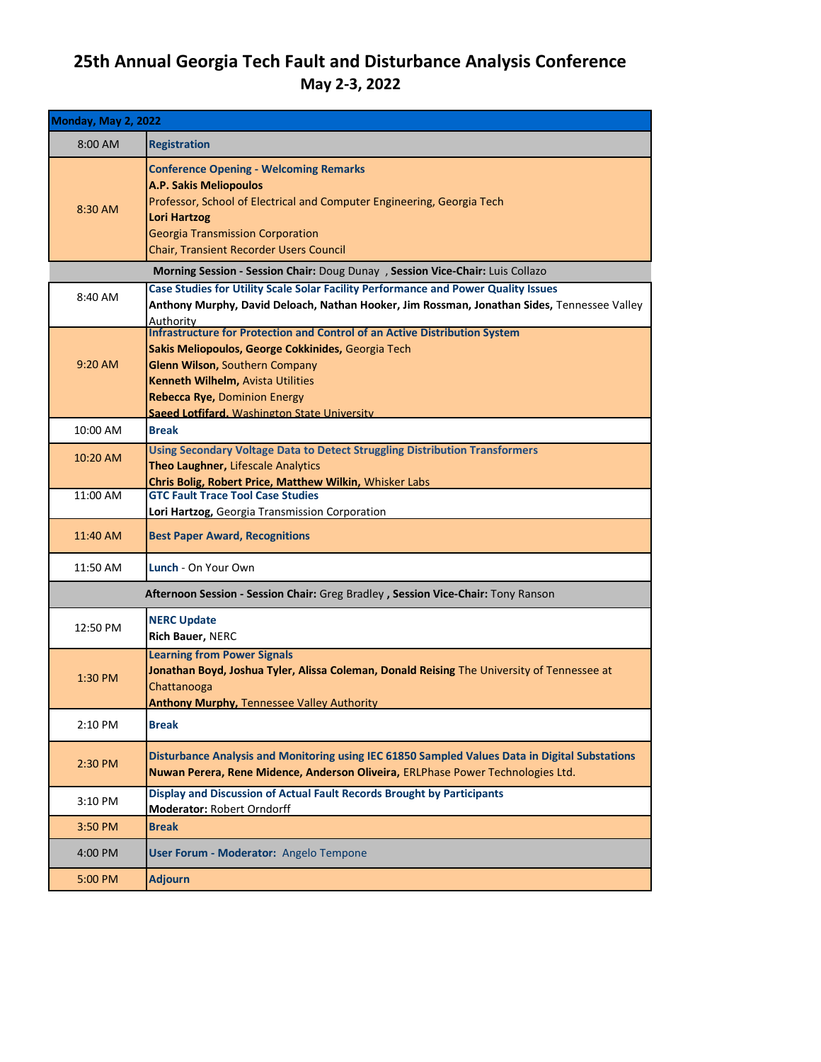## **25th Annual Georgia Tech Fault and Disturbance Analysis Conference May 2-3, 2022**

| <b>Monday, May 2, 2022</b>                                                       |                                                                                                                                                                                                                                                                                                       |  |
|----------------------------------------------------------------------------------|-------------------------------------------------------------------------------------------------------------------------------------------------------------------------------------------------------------------------------------------------------------------------------------------------------|--|
| 8:00 AM                                                                          | <b>Registration</b>                                                                                                                                                                                                                                                                                   |  |
| 8:30 AM                                                                          | <b>Conference Opening - Welcoming Remarks</b><br><b>A.P. Sakis Meliopoulos</b><br>Professor, School of Electrical and Computer Engineering, Georgia Tech<br><b>Lori Hartzog</b><br><b>Georgia Transmission Corporation</b><br><b>Chair, Transient Recorder Users Council</b>                          |  |
| Morning Session - Session Chair: Doug Dunay , Session Vice-Chair: Luis Collazo   |                                                                                                                                                                                                                                                                                                       |  |
| 8:40 AM                                                                          | Case Studies for Utility Scale Solar Facility Performance and Power Quality Issues<br>Anthony Murphy, David Deloach, Nathan Hooker, Jim Rossman, Jonathan Sides, Tennessee Valley<br>Authority                                                                                                        |  |
| $9:20$ AM                                                                        | <b>Infrastructure for Protection and Control of an Active Distribution System</b><br>Sakis Meliopoulos, George Cokkinides, Georgia Tech<br>Glenn Wilson, Southern Company<br>Kenneth Wilhelm, Avista Utilities<br><b>Rebecca Rye, Dominion Energy</b><br>Saeed Lotfifard. Washington State University |  |
| 10:00 AM                                                                         | <b>Break</b>                                                                                                                                                                                                                                                                                          |  |
| 10:20 AM                                                                         | <b>Using Secondary Voltage Data to Detect Struggling Distribution Transformers</b><br>Theo Laughner, Lifescale Analytics<br>Chris Bolig, Robert Price, Matthew Wilkin, Whisker Labs                                                                                                                   |  |
| 11:00 AM                                                                         | <b>GTC Fault Trace Tool Case Studies</b><br>Lori Hartzog, Georgia Transmission Corporation                                                                                                                                                                                                            |  |
| 11:40 AM                                                                         | <b>Best Paper Award, Recognitions</b>                                                                                                                                                                                                                                                                 |  |
| 11:50 AM                                                                         | Lunch - On Your Own                                                                                                                                                                                                                                                                                   |  |
| Afternoon Session - Session Chair: Greg Bradley, Session Vice-Chair: Tony Ranson |                                                                                                                                                                                                                                                                                                       |  |
| 12:50 PM                                                                         | <b>NERC Update</b><br>Rich Bauer, NERC                                                                                                                                                                                                                                                                |  |
| 1:30 PM                                                                          | <b>Learning from Power Signals</b><br>Jonathan Boyd, Joshua Tyler, Alissa Coleman, Donald Reising The University of Tennessee at<br>Chattanooga<br><b>Anthony Murphy, Tennessee Valley Authority</b>                                                                                                  |  |
| 2:10 PM                                                                          | <b>Break</b>                                                                                                                                                                                                                                                                                          |  |
| 2:30 PM                                                                          | Disturbance Analysis and Monitoring using IEC 61850 Sampled Values Data in Digital Substations<br>Nuwan Perera, Rene Midence, Anderson Oliveira, ERLPhase Power Technologies Ltd.                                                                                                                     |  |
| 3:10 PM                                                                          | Display and Discussion of Actual Fault Records Brought by Participants<br>Moderator: Robert Orndorff                                                                                                                                                                                                  |  |
| 3:50 PM                                                                          | <b>Break</b>                                                                                                                                                                                                                                                                                          |  |
| 4:00 PM                                                                          | User Forum - Moderator: Angelo Tempone                                                                                                                                                                                                                                                                |  |
| 5:00 PM                                                                          | <b>Adjourn</b>                                                                                                                                                                                                                                                                                        |  |